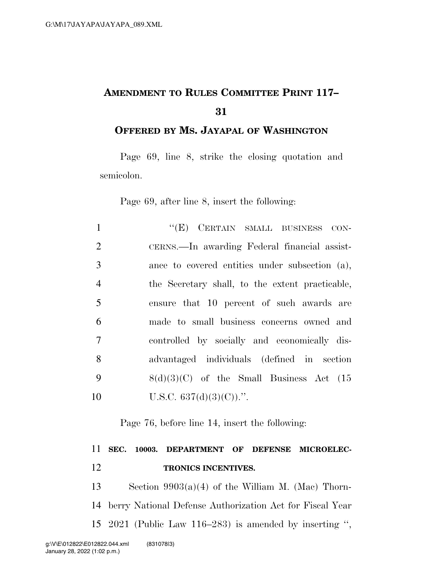## **AMENDMENT TO RULES COMMITTEE PRINT 117–**

**OFFERED BY MS. JAYAPAL OF WASHINGTON**

Page 69, line 8, strike the closing quotation and semicolon.

Page 69, after line 8, insert the following:

| $\mathbf{1}$   | "(E) CERTAIN SMALL BUSINESS CON-                |
|----------------|-------------------------------------------------|
| 2              | CERNS.—In awarding Federal financial assist-    |
| 3              | ance to covered entities under subsection (a),  |
| $\overline{4}$ | the Secretary shall, to the extent practicable, |
| $\overline{5}$ | ensure that 10 percent of such awards are       |
| 6              | made to small business concerns owned and       |
| 7              | controlled by socially and economically dis-    |
| 8              | advantaged individuals (defined in section      |
| 9              | $8(d)(3)(C)$ of the Small Business Act (15      |
| 10             | U.S.C. $637(d)(3)(C)$ .".                       |

Page 76, before line 14, insert the following:

## **SEC. 10003. DEPARTMENT OF DEFENSE MICROELEC-TRONICS INCENTIVES.**

 Section 9903(a)(4) of the William M. (Mac) Thorn- berry National Defense Authorization Act for Fiscal Year 2021 (Public Law 116–283) is amended by inserting '',